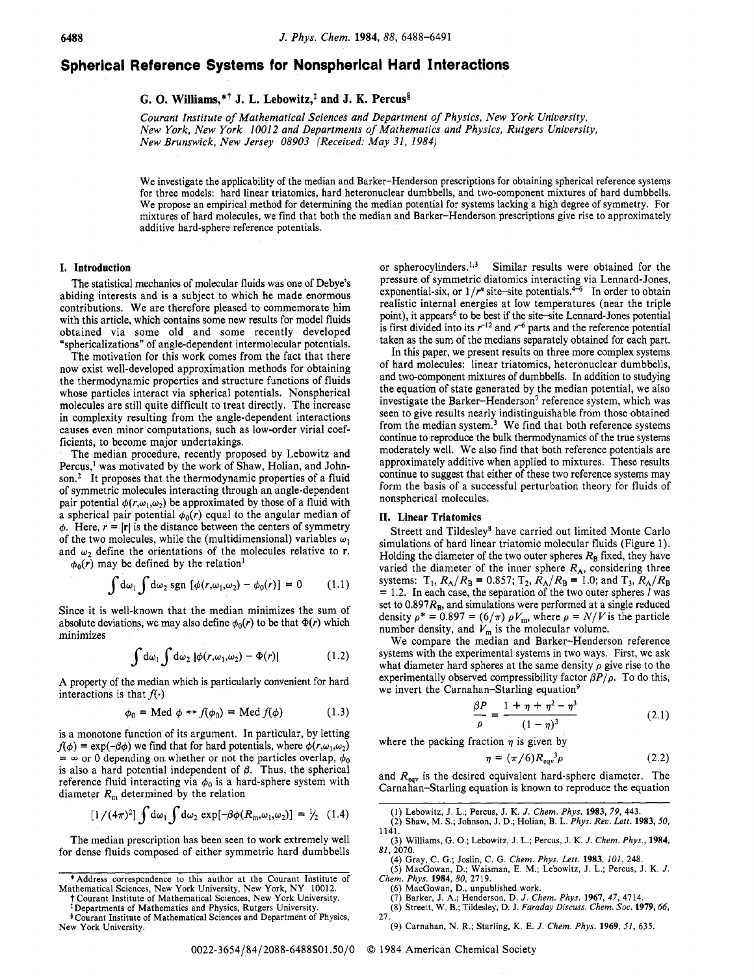# **Spherical Reference Systems for Nonspherlcal Hard Interactions**

**G.** *0.* **Williams,\*+ J. L. Lebowitz,' and J. K. Percuss** 

*Courant Institute of Mathematical Sciences and Department* of *Physics, New York University, New York, New York 10012 and Departments* of *Mathematics and Physics, Rutgers University, New Brunswick, New Jersey 08903 (Received: May 31, 1984)* 

We investigate the applicability of the median and Barker-Henderson prescriptions for obtaining spherical reference systems for three models: hard linear triatomics, hard heteronuclear dumbbells, and two-component mixtures of hard dumbbells. We propose an empirical method for determining the median potential for systems lacking a high degree of symmetry. For mixtures of hard molecules, we find that both the median and Barker-Henderson prescriptions give rise to approximately additive hard-sphere reference potentials.

## **I. Introduction**

The statistical mechanics of molecular fluids was one of Debye's abiding interests and is a subject to which he made enormous contributions. We are therefore pleased to commemorate him with this article, which contains some new results for model fluids obtained via some old and some recently developed "sphericalizations" of angle-dependent intermolecular potentials.

The motivation for this work comes from the fact that there now exist well-developed approximation methods for obtaining the thermodynamic properties and structure functions of fluids whose particles interact via spherical potentials. Nonspherical molecules are still quite difficult to treat directly. The increase in complexity resulting from the angle-dependent interactions causes even minor computations, such as low-order virial coefficients, to become major undertakings.

The median procedure, recently proposed by Lebowitz and Percus,<sup>1</sup> was motivated by the work of Shaw, Holian, and John**son.2** It proposes that the thermodynamic properties of a fluid of symmetric molecules interacting through an angle-dependent pair potential  $\phi(r,\omega_1,\omega_2)$  be approximated by those of a fluid with a spherical pair potential  $\phi_0(r)$  equal to the angular median of  $\phi$ . Here,  $r = |\mathbf{r}|$  is the distance between the centers of symmetry of the two molecules, while the (multidimensional) variables  $\omega_1$ and  $\omega_2$  define the orientations of the molecules relative to **r**.

 $\phi_0(r)$  may be defined by the relation<sup>1</sup>

$$
\int d\omega_1 \int d\omega_2 \operatorname{sgn} \left[ \phi(r, \omega_1, \omega_2) - \phi_0(r) \right] = 0 \qquad (1.1)
$$

Since it is well-known that the median minimizes the sum of absolute deviations, we may also define  $\phi_0(r)$  to be that  $\Phi(r)$  which minimizes

$$
\int d\omega_1 \int d\omega_2 \, |\phi(r,\omega_1,\omega_2) - \Phi(r)| \tag{1.2}
$$

**A** property of the median which is particularly convenient for hard interactions is that  $f(\cdot)$ 

$$
\phi_0 = \text{Med } \phi \leftrightarrow f(\phi_0) = \text{Med } f(\phi) \tag{1.3}
$$

is a monotone function of its argument. In particular, by letting  $f(\phi) = \exp(-\beta \phi)$  we find that for hard potentials, where  $\phi(r, \omega_1, \omega_2)$  $=$   $\infty$  or 0 depending on whether or not the particles overlap,  $\phi_0$ is also a hard potential independent of  $\beta$ . Thus, the spherical reference fluid interacting via  $\phi_0$  is a hard-sphere system with diameter  $R_m$  determined by the relation

$$
[1/(4\pi)^2] \int d\omega_1 \int d\omega_2 \exp[-\beta \phi(R_m, \omega_1, \omega_2)] = \frac{1}{2} (1.4)
$$

The median prescription has been seen to work extremely well for dense fluids composed of either symmetric hard dumbbells or spherocylinders.<sup>1,3</sup> Similar results were obtained for the pressure of symmetric diatomics interacting via Lennard-Jones, exponential-six, or  $1/r^n$  site-site potentials.<sup>4-6</sup> In order to obtain realistic internal energies at low temperatures (near the triple point), it appears<sup>6</sup> to be best if the site-site Lennard-Jones potential is first divided into its  $r^{-12}$  and  $r^{-6}$  parts and the reference potential taken as the sum of the medians separately obtained for each part.

In this paper, we present results on three more complex systems of hard molecules: linear triatomics, heteronuclear dumbbells, and two-component mixtures of dumbbells. In addition to studying the equation of state generated by the median potential, we also investigate the Barker-Henderson<sup>7</sup> reference system, which was seen to give results nearly indistinguishable from those obtained from the median system. $<sup>3</sup>$  We find that both reference systems</sup> continue to reproduce the bulk thermodynamics of the true systems moderately well. We also find that both reference potentials are approximately additive when applied to mixtures. These results continue to suggest that either of these two reference systems may form the basis of a successful perturbation theory for fluids of nonspherical molecules.

## **11. Linear Triatomics**

Streett and Tildesley\* have carried out limited Monte Carlo simulations of hard linear triatomic molecular fluids (Figure 1). Holding the diameter of the two outer spheres  $R_B$  fixed, they have varied the diameter of the inner sphere  $R_A$ , considering three = *1.2.* In each case, the separation of the two outer spheres *1* was set to  $0.897R_B$ , and simulations were performed at a single reduced density  $\rho^* = 0.897 = (6/\pi) \rho V_m$ , where  $\rho = N/V$  is the particle number density, and  $V_m$  is the molecular volume. systems:  $T_1$ ,  $R_A/R_B = 0.857$ ;  $T_2$ ,  $R_A/R_B = 1.0$ ; and  $T_3$ ,  $R_A/R_B$ 

We compare the median and Barker-Henderson reference systems with the experimental systems in two ways. First, we ask what diameter hard spheres at the same density  $\rho$  give rise to the experimentally observed compressibility factor  $\beta P/\rho$ . To do this, we invert the Carnahan-Starling equation<sup>9</sup>

$$
\frac{\beta P}{\rho} = \frac{1 + \eta + \eta^2 - \eta^3}{(1 - \eta)^3} \tag{2.1}
$$

where the packing fraction  $\eta$  is given by

$$
\eta = (\pi/6)R_{\text{eq}v}^3 \rho \tag{2.2}
$$

and  $R_{\text{eqv}}$  is the desired equivalent hard-sphere diameter. The Carnahan-Starling equation is known to reproduce the equation

- (1) Lebowitz, J. L.; Percus, J. **K.** *J. Chem. Phys.* **1983,** *79,* 443.
- (2) Shaw, M. *S.;* Johnson, J. D.; Holian, B. L. *Phys. Rev. Lett.* **1983,** *50,*  1141.
- *(3)* Williams, G. *0.;* Lebowitz, J. L.; Percus, J. K. *J. Chem. Phys.,* **1984,**  81, 2070.
- (4) Gray, **C.** G.; Josh, C. G. *Chem. Phys. Lett.* **1983,** *101,* 248. *(5)* MacGowan, D.; Waisman, **E.** M.; Lebowitz, **J.** L.; Percus, J. **K.** *J. Chem. Phys.* **1984,** *80,* 2719.
- *(6)* MacGowan, D., unpublished work.
- 
- **(7)** Barker, J. **A.;** Henderson, D. *J. Chem. Phys.* **1961,** *47,* 4714. (8) Streett, W. B.; Tildesley, D. J. *Faraday Discuss. Chem. Soc.* **1979,66,**  27.
- (9) Carnahan, N. R.; Starling, K. **E.** *J. Chem. Phys.* **1969,** *51,* 635.

<sup>&#</sup>x27;Address correspondence to this author at the Courant Institute of

Mathematical Sciences, New **York** University, New **York, NY** 10012. t Courant Institute of Mathematical Sciences, New **York** University.

<sup>\*</sup>Departments of Mathematics and Physics, Rutgers University.

Courant Institute of Mathematical Sciences and Department of Physics, New **York** University.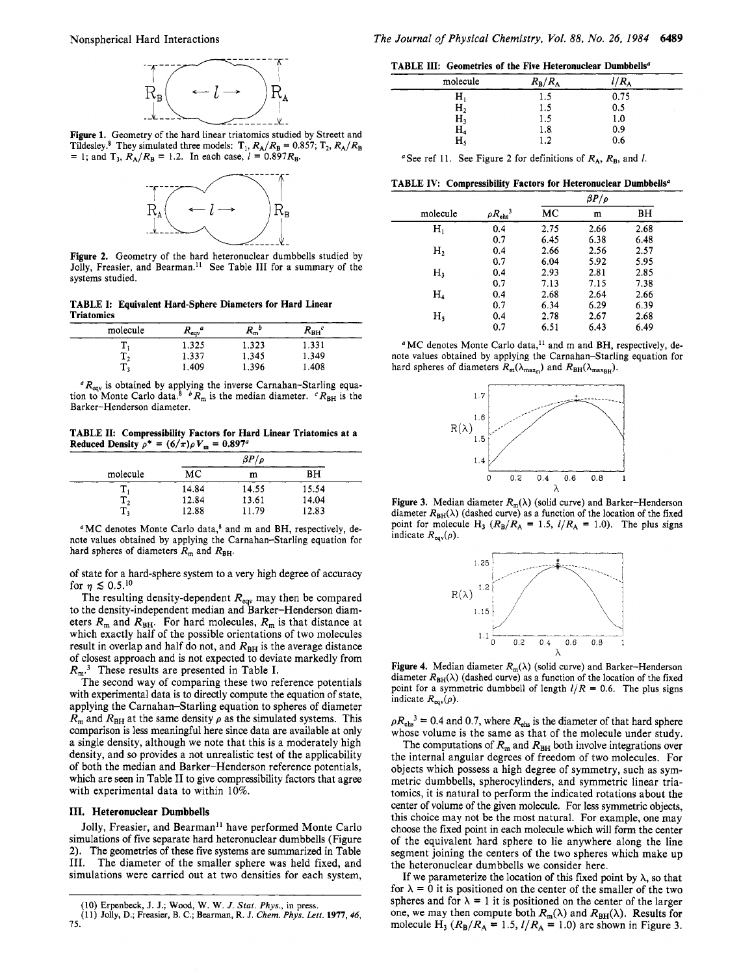

**Figure 1.** Geometry of the hard linear triatomics studied by Streett and Tildesley.<sup>8</sup> They simulated three models:  $T_1$ ,  $R_A/R_B = 0.857$ ;  $T_2$ ,  $R_A/R_B = 1$ ; and  $T_3$ ,  $R_A/R_B = 1.2$ . In each case,  $l = 0.897R_B$ .



**Figure 2.** Geometry of the hard heteronuclear dumbbells studied by Jolly, Freasier, and Bearman." See Table **I11** for a summary of the systems studied.

**TABLE I: Equivalent Hard-Sphere Diameters for Hard Linear Triatomics** 

| molecule | a<br>$R_{\text{cav}}$ | D<br>n<br>١m | $R_{BH}^{c}$ |  |
|----------|-----------------------|--------------|--------------|--|
|          | 1.325                 | 1.323        | 1.331        |  |
| $-2$     | 1.337                 | 1.345        | 1.349        |  |
| –<br>- 1 | .409                  | . .396       | 408          |  |

<sup>*a*</sup>R<sub>eqv</sub> is obtained by applying the inverse Carnahan-Starling equation to Monte Carlo data.<sup>8</sup> <sup>*b*</sup>R<sub>m</sub> is the median diameter. *<sup><i>c*</sup>R<sub>BH</sub> is the Barker-Henderson diameter.

**TABLE 11: Compressibility Factors for Hard Linear Triatomics at a Reduced Density**  $\rho^* = (6/\pi)\rho V_m = 0.897^a$ 

|          |       | $\beta P/$<br>o |       |
|----------|-------|-----------------|-------|
| molecule | МC    | m               | BН    |
|          | 14.84 | 14.55           | 15.54 |
| - 2      | 12.84 | 13.61           | 14.04 |
| 11       | 12.88 | 11.79           | 12.83 |

<sup>a</sup>MC denotes Monte Carlo data,<sup>8</sup> and m and BH, respectively, denote values obtained by applying the Carnahan-Starling equation for hard spheres of diameters  $R_m$  and  $R_{BH}$ .

of state for a hard-sphere system to a very high degree of accuracy for  $\eta \lesssim 0.5$ .<sup>10</sup>

The resulting density-dependent  $R_{\text{eav}}$  may then be compared to the density-independent median and Barker-Henderson diameters  $R_m$  and  $R_{BH}$ . For hard molecules,  $R_m$  is that distance at which exactly half of the possible orientations of two molecules result in overlap and half do not, and  $R_{BH}$  is the average distance of closest approach and is not expected to deviate markedly from *R,.3* These results are presented in Table I.

The second way of comparing these two reference potentials with experimental data is to directly compute the equation of state, applying the Carnahan-Starling equation to spheres of diameter  $R_{\rm m}$  and  $R_{\rm BH}$  at the same density  $\rho$  as the simulated systems. This comparison is less meaningful here since data are available at only a single density, although we note that this is a moderately high density, and so provides a not unrealistic test of the applicability of both the median and Barker-Henderson reference potentials, which are seen in Table II to give compressibility factors that agree with experimental data to within 10%.

#### **111. Heteronuclear Dumbbells**

Jolly, Freasier, and Bearman<sup>11</sup> have performed Monte Carlo simulations of five separate hard heteronuclear dumbbells (Figure **2).** The geometries of these five systems are summarized in Table 111. The diameter of the smaller sphere was held fixed, and simulations were carried out at two densities for each system,

**TABLE 111: Geometries of the Five Heteronuclear Dumbbells"** 

| __                      |                       |             |  |
|-------------------------|-----------------------|-------------|--|
| molecule                | $R_{\rm B}/R_{\rm A}$ | $R_{\rm A}$ |  |
| $\rm H_{i}$             | 1.5                   | 0.75        |  |
| H <sub>2</sub>          | 1.5                   | 0.5         |  |
|                         | 1.5                   | 1.0         |  |
|                         | 1.8                   | 0.9         |  |
| $H_3$<br>$H_4$<br>$H_5$ | 1.2                   | 0.6         |  |
|                         |                       |             |  |

See ref 11. See Figure 2 for definitions of *RA, RB,* and *1.* 

TABLE IV: Compressibility Factors for Heteronuclear Dumbbells<sup>a</sup>

|                |                           |      | $\beta P/\rho$ |      |  |
|----------------|---------------------------|------|----------------|------|--|
| molecule       | $\rho R_{\text{ehs}}{}^3$ | МC   | m              | BН   |  |
| $\mathbf{H}_1$ | 0.4                       | 2.75 | 2.66           | 2.68 |  |
|                | 0.7                       | 6.45 | 6.38           | 6.48 |  |
| H <sub>2</sub> | 0.4                       | 2.66 | 2.56           | 2.57 |  |
|                | 0.7                       | 6.04 | 5.92           | 5.95 |  |
| н,             | 0.4                       | 2.93 | 2.81           | 2.85 |  |
|                | 0.7                       | 7.13 | 7.15           | 7.38 |  |
| $\rm{H}_{4}$   | 0.4                       | 2.68 | 2.64           | 2.66 |  |
|                | 0.7                       | 6.34 | 6.29           | 6.39 |  |
| $H_5$          | 0.4                       | 2.78 | 2.67           | 2.68 |  |
|                | 0.7                       | 6.51 | 6.43           | 6.49 |  |

<sup>a</sup>MC denotes Monte Carlo data,<sup>11</sup> and m and BH, respectively, denote values obtained by applying the Carnahan-Starling equation for hard spheres of diameters  $R_m(\lambda_{\text{max}_m})$  and  $R_{BH}(\lambda_{\text{max}_{BH}})$ .



**Figure 3.** Median diameter  $R_m(\lambda)$  (solid curve) and Barker-Henderson diameter  $R_{BH}(\lambda)$  (dashed curve) as a function of the location of the fixed point for molecule H<sub>3</sub> ( $R_B/R_A = 1.5$ ,  $l/R_A = 1.0$ ). The plus signs indicate  $R_{\text{eqv}}(\rho)$ .



**Figure 4.** Median diameter  $R_m(\lambda)$  (solid curve) and Barker-Henderson diameter  $R_{BH}(\lambda)$  (dashed curve) as a function of the location of the fixed point for a symmetric dumbbell of length  $I/R = 0.6$ . The plus signs indicate  $R_{\text{eqv}}(\rho)$ .

 $pR_{\text{ehs}}^3$  = 0.4 and 0.7, where  $R_{\text{ehs}}$  is the diameter of that hard sphere whose volume is the same as that of the molecule under study.

The computations of  $R_m$  and  $R_{BH}$  both involve integrations over the internal angular degrees of freedom of two molecules. For objects which possess a high degree of symmetry, such as symmetric dumbbells, spherocylinders, and symmetric linear triatomics, it is natural to perform the indicated rotations about the center of volume of the given molecule. For less symmetric objects, this choice may not be the most natural. For example, one may choose the **fixed** point in each molecule which will form the center of the equivalent hard sphere to lie anywhere along the line segment joining the centers of the two spheres which make up the heteronuclear dumbbells we consider here.

If we parameterize the location of this fixed point by  $\lambda$ , so that for  $\lambda = 0$  it is positioned on the center of the smaller of the two spheres and for  $\lambda = 1$  it is positioned on the center of the larger one, we may then compute both  $R_m(\lambda)$  and  $R_{BH}(\lambda)$ . Results for molecule H<sub>3</sub> ( $R_B/R_A = 1.5$ ,  $l/R_A = 1.0$ ) are shown in Figure 3.

<sup>(10)</sup> Erpenbeck, J. J.; **Wood,** W. W. *J. Stat. Phys.,* in press.

<sup>(1 1)</sup> Jolly, D.; Freasier, B. C.; Bearman, R. J. *Chem. Phys.* Lett. **1977,** *46, 15.*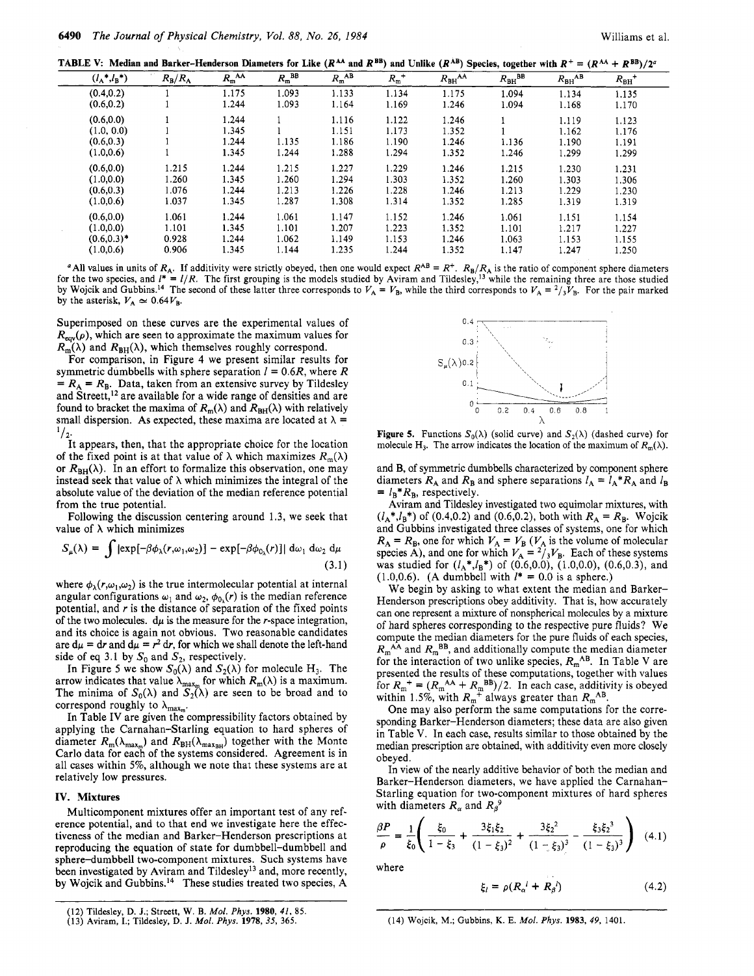**TABLE V:** Median and Barker-Henderson Diameters for Like  $(R^{AA}$  and  $R^{BB}$ ) and Unlike  $(R^{AB})$  Species, together with  $R^+ = (R^{AA} + R^{BB})/2^a$ 

|        |                   |                       |                     |                      |                        |                 |             | -           |                       | $\cdots$              |  |
|--------|-------------------|-----------------------|---------------------|----------------------|------------------------|-----------------|-------------|-------------|-----------------------|-----------------------|--|
|        | $(l_{A}*,l_{B}*)$ | $R_{\rm B}/R_{\rm A}$ | $R_{m}^{\text{AA}}$ | $R_{\rm m}^{\rm BB}$ | $R_{\rm m}{}^{\rm AB}$ | ${R_{\rm m}}^+$ | $R_{BH}$ AA | $R_{BH}$ BB | $R_{\rm BH}^{\rm AB}$ | $R_{BH}$ <sup>+</sup> |  |
|        | (0.4, 0.2)        |                       | 1.175               | 1.093                | 1.133                  | 1.134           | 1.175       | 1.094       | 1.134                 | 1.135                 |  |
|        | (0.6, 0.2)        |                       | 1.244               | 1.093                | 1.164                  | 1.169           | 1.246       | 1.094       | 1.168                 | 1.170                 |  |
|        | (0.6, 0.0)        |                       | 1.244               |                      | 1.116                  | 1.122           | 1.246       |             | 1.119                 | 1.123                 |  |
|        | (1.0, 0.0)        |                       | 1.345               |                      | 1.151                  | 1.173           | 1.352       |             | 1.162                 | 1.176                 |  |
|        | (0.6, 0.3)        |                       | 1.244               | 1.135                | 1.186                  | 1.190           | 1.246       | 1.136       | 1.190                 | 1.191                 |  |
|        | (1.0, 0.6)        |                       | 1.345               | 1.244                | 1.288                  | 1.294           | 1.352       | 1.246       | 1.299                 | 1.299                 |  |
|        | (0.6, 0.0)        | 1.215                 | 1.244               | 1.215                | 1.227                  | 1.229           | 1.246       | 1.215       | 1.230                 | 1.231                 |  |
|        | (1.0, 0.0)        | 1.260                 | 1.345               | 1.260                | 1.294                  | 1.303           | 1.352       | 1.260       | 1.303                 | 1.306                 |  |
|        | (0.6, 0.3)        | 1.076                 | 1.244               | 1.213                | 1.226                  | 1.228           | 1 2 4 6     | 1.213       | 1.229                 | 1.230                 |  |
|        | (1.0, 0.6)        | 1.037                 | 1.345               | 1.287                | 1.308                  | 1.314           | 1.352       | 1.285       | 1.319                 | 1.319                 |  |
|        | (0.6, 0.0)        | 1.061                 | 1.244               | 1.061                | 1.147                  | 1.152           | 1.246       | 1.061       | 1.151                 | 1.154                 |  |
| $\sim$ | (1.0, 0.0)        | 1.101                 | 1.345               | 1.101                | 1.207                  | 1.223           | 1.352       | 1.101       | 1.217                 | 1.227                 |  |
|        | $(0.6, 0.3)^*$    | 0.928                 | 1.244               | 1.062                | 1.149                  | 1.153           | 1.246       | 1.063       | 1.153                 | 1.155                 |  |
|        | (1.0, 0.6)        | 0.906                 | 1.345               | 1.144                | 1.235                  | 1.244           | 1.352       | 1.147       | 1.247                 | 1.250                 |  |

<sup>a</sup> All values in units of  $R_A$ . If additivity were strictly obeyed, then one would expect  $R^{AB} = R^+$ .  $R_B/R_A$  is the ratio of component sphere diameters for the two species, and  $I^* = I/R$ . The first grouping is the models studied by Aviram and Tildesley,<sup>13</sup> while the remaining three are those studied by Wojcik and Gubbins.<sup>14</sup> The second of these latter three corresponds to  $V_A = V_B$ , while the third corresponds to  $V_A = \frac{2}{3}V_B$ . For the pair marked by the asterisk,  $V_A \simeq 0.64V_B$ .

Superimposed on these curves are the experimental values of  $R_{\text{eqv}}(\rho)$ , which are seen to approximate the maximum values for  $R_{m}(\lambda)$  and  $R_{BH}(\lambda)$ , which themselves roughly correspond.

For comparison, in Figure **4** we present similar results for symmetric dumbbells with sphere separation  $l = 0.6R$ , where R  $= R_A = R_B$ . Data, taken from an extensive survey by Tildesley and Streett,<sup>12</sup> are available for a wide range of densities and are found to bracket the maxima of  $R_m(\lambda)$  and  $R_{BH}(\lambda)$  with relatively small dispersion. As expected, these maxima are located at  $\lambda$  =  $^{1}/_{2}$ .

It appears, then, that the appropriate choice for the location of the fixed point is at that value of  $\lambda$  which maximizes  $R_m(\lambda)$ or  $R_{BH}(\lambda)$ . In an effort to formalize this observation, one may instead seek that value of  $\lambda$  which minimizes the integral of the absolute value of the deviation of the median reference potential from the true potential.

Following the discussion centering around 1.3, we seek that value of  $\lambda$  which minimizes

$$
S_{\mu}(\lambda) = \int |\exp[-\beta \phi_{\lambda}(r, \omega_1, \omega_2)] - \exp[-\beta \phi_{0_{\lambda}}(r)]| d\omega_1 d\omega_2 d\mu
$$
\n(3.1)

where  $\phi_{\lambda}(r,\omega_1,\omega_2)$  is the true intermolecular potential at internal angular configurations  $\omega_1$  and  $\omega_2$ ,  $\phi_{0_\lambda}(r)$  is the median reference potential, and  $r$  is the distance of separation of the fixed points of the two molecules.  $d\mu$  is the measure for the r-space integration, and its choice is again not obvious. Two reasonable candidates are  $d\mu = dr$  and  $d\mu = r^2 dr$ , for which we shall denote the left-hand side of eq 3.1 by  $S_0$  and  $S_2$ , respectively.

In Figure 5 we show  $S_0(\lambda)$  and  $S_2(\lambda)$  for molecule H<sub>3</sub>. The arrow indicates that value  $\lambda_{\max_{m}}$  for which  $R_{m}(\lambda)$  is a maximum. The minima of  $S_0(\lambda)$  and  $S_2(\lambda)$  are seen to be broad and to correspond roughly to  $\lambda$ 

In Table **IV** are given the compressibility factors obtained by applying the Carnahan-Starling equation to hard spheres of diameter  $R_m(\lambda_{\text{max}_m})$  and  $R_{BH}(\lambda_{\text{max}_{BH}})$  together with the Monte Carlo data for each of the systems considered. Agreement is in all cases within 5%, although we note that these systems are at relatively low pressures.

#### **IV. Mixtures**

Multicomponent mixtures offer an important test of any reference potential, and to that end we investigate here the effectiveness of the median and Barker-Henderson prescriptions at reproducing the equation of state for dumbbell-dumbbell and sphere-dumbbell two-component mixtures. Such systems have been investigated by Aviram and Tildesley<sup>13</sup> and, more recently, by Wojcik and Gubbins.<sup>14</sup> These studies treated two species, A



**Figure 5.** Functions  $S_0(\lambda)$  (solid curve) and  $S_2(\lambda)$  (dashed curve) for molecule **H**<sub>3</sub>. The arrow indicates the location of the maximum of  $R_m(\lambda)$ .

and B, of symmetric dumbbells characterized by component sphere diameters  $R_A$  and  $R_B$  and sphere separations  $I_A = I_A * R_A$  and  $I_B$  $= l_B^* R_B$ , respectively.

Aviram and Tildesley investigated two equimolar mixtures, with  $(l_A^*, l_B^*)$  of (0.4,0.2) and (0.6,0.2), both with  $R_A = R_B$ . Wojcik and Gubbins investigated three classes of systems, one for which  $R_A = R_B$ , one for which  $V_A = V_B$  ( $V_A$  is the volume of molecular species A), and one for which  $V_A = \frac{2}{3}V_B$ . Each of these systems was studied for  $(l_A^*, l_B^*)$  of  $(0.6, 0.0), (1.0, 0.0), (0.6, 0.3),$  and  $(1.0,0.6)$ . (A dumbbell with  $l^* = 0.0$  is a sphere.)

We begin by asking to what extent the median and Barker-Henderson prescriptions obey additivity. That is, how accurately can one represent a mixture of nonspherical molecules by a mixture of hard spheres corresponding to the respective pure fluids? We compute the median diameters for the pure fluids of each species,  $R_{\rm m}^{\rm A\overline{A}}$  and  $R_{\rm m}^{\rm BB}$ , and additionally compute the median diameter for the interaction of two unlike species,  $R_m^{AB}$ . In Table V are presented the results of these computations, together with values for  $R_m^+ = (R_m^{\text{AA}} + R_m^{\text{BB}})/2$ . In each case, additivity is obeyed within 1.5%, with  $R_m^+$  always greater than  $R_m^{\text{AB}}$ .

One may also perform the same computations for the corresponding Barker-Henderson diameters; these data are also given in Table **V.** In each case, results similar to those obtained by the median prescription are obtained, with additivity even more closely obeyed.

In view of the nearly additive behavior of both the median and Barker-Henderson diameters, we have applied the Carnahan-Starling equation for two-component mixtures of hard spheres with diameters  $R_{\alpha}$  and  $R_{\beta}^{\ \theta}$ 

$$
\frac{\beta P}{\rho} = \frac{1}{\xi_0} \left( \frac{\xi_0}{1 - \xi_3} + \frac{3\xi_1\xi_2}{(1 - \xi_3)^2} + \frac{3\xi_2^2}{(1 - \xi_3)^3} - \frac{\xi_3\xi_2^3}{(1 - \xi_3)^3} \right) (4.1)
$$

where

$$
\xi_l = \rho (R_\alpha^l + R_\beta^l) \tag{4.2}
$$

**<sup>(12)</sup>** Tildesley, D. J.; Streett, **W.** B. *Mol. Phys.* **1980,** *41,* 85

<sup>(13)</sup> Aviram, **I.;** Tildesley, D. J. *Mol. Phys.* **1978, 35,** 365. (14) Wojcik, M.; Gubbins, K. E. *Mol. Phys.* **1983,** *49,* 1401